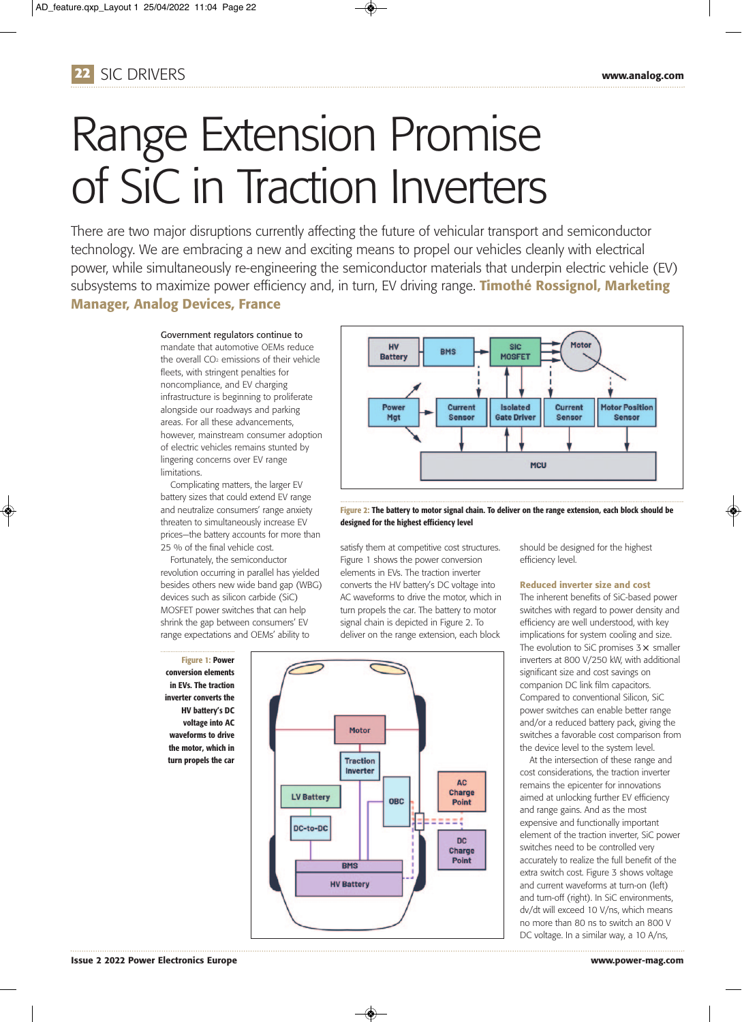

# Range Extension Promise of SiC in Traction Inverters

There are two major disruptions currently affecting the future of vehicular transport and semiconductor technology. We are embracing a new and exciting means to propel our vehicles cleanly with electrical power, while simultaneously re-engineering the semiconductor materials that underpin electric vehicle (EV) subsystems to maximize power efficiency and, in turn, EV driving range. **Timothé Rossignol, Marketing Manager, Analog Devices, France**

> Government regulators continue to mandate that automotive OEMs reduce the overall  $CO<sub>2</sub>$  emissions of their vehicle fleets, with stringent penalties for noncompliance, and EV charging infrastructure is beginning to proliferate alongside our roadways and parking areas. For all these advancements, however, mainstream consumer adoption of electric vehicles remains stunted by lingering concerns over EV range limitations.

Complicating matters, the larger EV battery sizes that could extend EV range and neutralize consumers' range anxiety threaten to simultaneously increase EV prices—the battery accounts for more than 25 % of the final vehicle cost.

Fortunately, the semiconductor revolution occurring in parallel has yielded besides others new wide band gap (WBG) devices such as silicon carbide (SiC) MOSFET power switches that can help shrink the gap between consumers' EV range expectations and OEMs' ability to

**Figure 1: Power conversion elements in EVs. The traction inverter converts the HV battery's DC voltage into AC waveforms to drive the motor, which in turn propels the car**



**Figure 2: The battery to motor signal chain. To deliver on the range extension, each block should be designed for the highest efficiency level**

satisfy them at competitive cost structures. Figure 1 shows the power conversion elements in EVs. The traction inverter converts the HV battery's DC voltage into AC waveforms to drive the motor, which in turn propels the car. The battery to motor signal chain is depicted in Figure 2. To deliver on the range extension, each block



 $\circledast$ 

should be designed for the highest efficiency level.

### **Reduced inverter size and cost**

The inherent benefits of SiC-based power switches with regard to power density and efficiency are well understood, with key implications for system cooling and size. The evolution to SiC promises 3  $\times$  smaller inverters at 800 V/250 kW, with additional significant size and cost savings on companion DC link film capacitors. Compared to conventional Silicon, SiC power switches can enable better range and/or a reduced battery pack, giving the switches a favorable cost comparison from the device level to the system level.

At the intersection of these range and cost considerations, the traction inverter remains the epicenter for innovations aimed at unlocking further EV efficiency and range gains. And as the most expensive and functionally important element of the traction inverter, SiC power switches need to be controlled very accurately to realize the full benefit of the extra switch cost. Figure 3 shows voltage and current waveforms at turn-on (left) and turn-off (right). In SiC environments, dv/dt will exceed 10 V/ns, which means no more than 80 ns to switch an 800 V DC voltage. In a similar way, a 10 A/ns,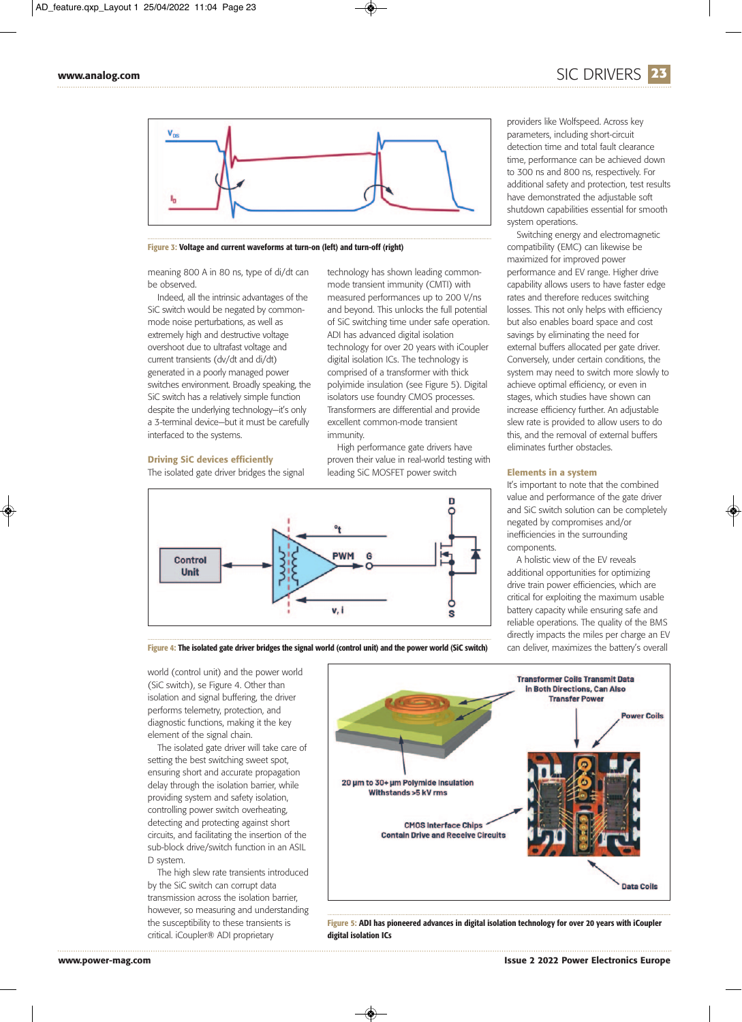

**Figure 3: Voltage and current waveforms at turn-on (left) and turn-off (right)**

meaning 800 A in 80 ns, type of di/dt can be observed.

Indeed, all the intrinsic advantages of the SiC switch would be negated by commonmode noise perturbations, as well as extremely high and destructive voltage overshoot due to ultrafast voltage and current transients (dv/dt and di/dt) generated in a poorly managed power switches environment. Broadly speaking, the SiC switch has a relatively simple function despite the underlying technology—it's only a 3-terminal device—but it must be carefully interfaced to the systems.

#### **Driving SiC devices efficiently**

The isolated gate driver bridges the signal



High performance gate drivers have proven their value in real-world testing with leading SiC MOSFET power switch



**Figure 4: The isolated gate driver bridges the signal world (control unit) and the power world (SiC switch)**

◈

parameters, including short-circuit detection time and total fault clearance time, performance can be achieved down to 300 ns and 800 ns, respectively. For additional safety and protection, test results have demonstrated the adjustable soft shutdown capabilities essential for smooth system operations.

Switching energy and electromagnetic compatibility (EMC) can likewise be maximized for improved power performance and EV range. Higher drive capability allows users to have faster edge rates and therefore reduces switching losses. This not only helps with efficiency but also enables board space and cost savings by eliminating the need for external buffers allocated per gate driver. Conversely, under certain conditions, the system may need to switch more slowly to achieve optimal efficiency, or even in stages, which studies have shown can increase efficiency further. An adjustable slew rate is provided to allow users to do this, and the removal of external buffers eliminates further obstacles.

#### **Elements in a system**

It's important to note that the combined value and performance of the gate driver and SiC switch solution can be completely negated by compromises and/or inefficiencies in the surrounding components.

A holistic view of the EV reveals additional opportunities for optimizing drive train power efficiencies, which are critical for exploiting the maximum usable battery capacity while ensuring safe and reliable operations. The quality of the BMS directly impacts the miles per charge an EV can deliver, maximizes the battery's overall

world (control unit) and the power world (SiC switch), se Figure 4. Other than isolation and signal buffering, the driver performs telemetry, protection, and diagnostic functions, making it the key element of the signal chain.

The isolated gate driver will take care of setting the best switching sweet spot, ensuring short and accurate propagation delay through the isolation barrier, while providing system and safety isolation, controlling power switch overheating, detecting and protecting against short circuits, and facilitating the insertion of the sub-block drive/switch function in an ASIL D system.

The high slew rate transients introduced by the SiC switch can corrupt data transmission across the isolation barrier, however, so measuring and understanding the susceptibility to these transients is critical. iCoupler® ADI proprietary



**Figure 5: ADI has pioneered advances in digital isolation technology for over 20 years with iCoupler digital isolation ICs**

## **www.analog.com** SIC DRIVERS **23**